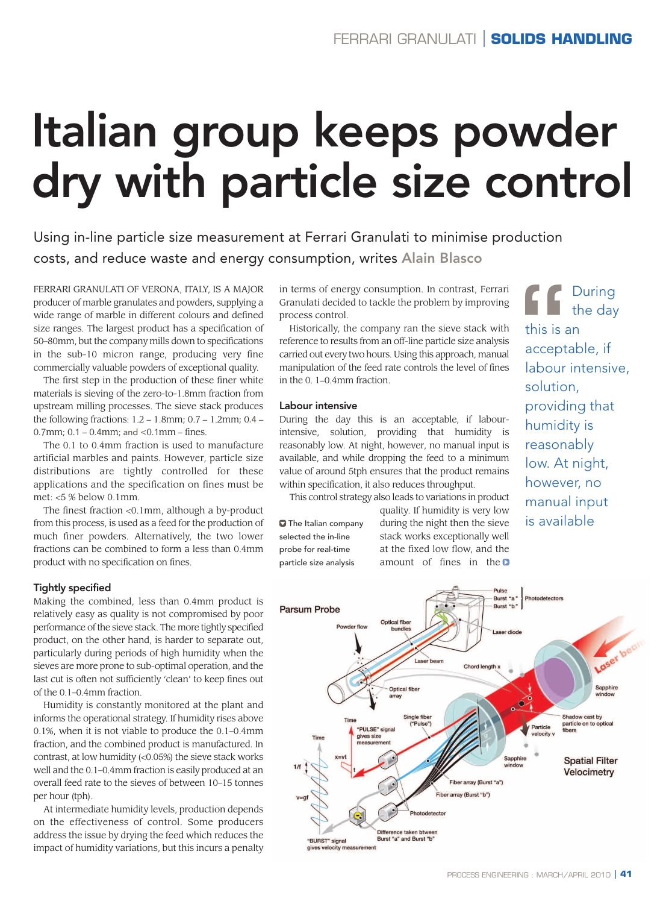# **Italian group keeps powder dry with particle size control**

Using in-line particle size measurement at Ferrari Granulati to minimise production costs, and reduce waste and energy consumption, writes **Alain Blasco**

FERRARI GRANULATI OF VERONA, ITALY, IS A MAJOR producer of marble granulates and powders, supplying a wide range of marble in different colours and defined size ranges. The largest product has a specification of 50–80mm, but the company mills down to specifications in the sub-10 micron range, producing very fine commercially valuable powders of exceptional quality.

The first step in the production of these finer white materials is sieving of the zero-to-1.8mm fraction from upstream milling processes. The sieve stack produces the following fractions: 1.2 – 1.8mm; 0.7 – 1.2mm; 0.4 –  $0.7$ mm;  $0.1 - 0.4$ mm; and < $0.1$ mm – fines.

The 0.1 to 0.4mm fraction is used to manufacture artificial marbles and paints. However, particle size distributions are tightly controlled for these applications and the specification on fines must be met: <5 % below 0.1mm.

The finest fraction <0.1mm, although a by-product from this process, is used as a feed for the production of much finer powders. Alternatively, the two lower fractions can be combined to form a less than 0.4mm product with no specification on fines.

# **Tightly specified**

Making the combined, less than 0.4mm product is relatively easy as quality is not compromised by poor performance of the sieve stack. The more tightly specified product, on the other hand, is harder to separate out, particularly during periods of high humidity when the sieves are more prone to sub-optimal operation, and the last cut is often not sufficiently 'clean' to keep fines out of the 0.1–0.4mm fraction.

Humidity is constantly monitored at the plant and informs the operational strategy. If humidity rises above 0.1%, when it is not viable to produce the 0.1–0.4mm fraction, and the combined product is manufactured. In contrast, at low humidity (<0.05%) the sieve stack works well and the 0.1–0.4mm fraction is easily produced at an overall feed rate to the sieves of between 10–15 tonnes per hour (tph).

At intermediate humidity levels, production depends on the effectiveness of control. Some producers address the issue by drying the feed which reduces the impact of humidity variations, but this incurs a penalty

in terms of energy consumption. In contrast, Ferrari Granulati decided to tackle the problem by improving process control.

Historically, the company ran the sieve stack with reference to results from an off-line particle size analysis carried out every two hours. Using this approach, manual manipulation of the feed rate controls the level of fines in the 0. 1–0.4mm fraction.

### **Labour intensive**

During the day this is an acceptable, if labourintensive, solution, providing that humidity is reasonably low. At night, however, no manual input is available, and while dropping the feed to a minimum value of around 5tph ensures that the product remains within specification, it also reduces throughput.

This control strategy also leads to variations in product

The Italian company selected the in-line probe for real-time particle size analysis

quality. If humidity is very low during the night then the sieve stack works exceptionally well at the fixed low flow, and the amount of fines in the  $\Box$ 

THE During<br>
this is an<br>
acceptable, if<br>
labour intensive<br>
solution,<br>
providing that the day this is an acceptable, if labour intensive, solution, providing that humidity is reasonably low. At night, however, no manual input is available